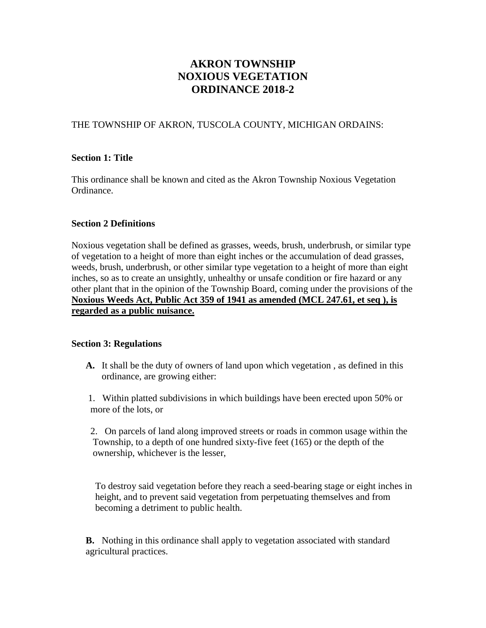# **AKRON TOWNSHIP NOXIOUS VEGETATION ORDINANCE 2018-2**

## THE TOWNSHIP OF AKRON, TUSCOLA COUNTY, MICHIGAN ORDAINS:

#### **Section 1: Title**

This ordinance shall be known and cited as the Akron Township Noxious Vegetation Ordinance.

## **Section 2 Definitions**

Noxious vegetation shall be defined as grasses, weeds, brush, underbrush, or similar type of vegetation to a height of more than eight inches or the accumulation of dead grasses, weeds, brush, underbrush, or other similar type vegetation to a height of more than eight inches, so as to create an unsightly, unhealthy or unsafe condition or fire hazard or any other plant that in the opinion of the Township Board, coming under the provisions of the **Noxious Weeds Act, Public Act 359 of 1941 as amended (MCL 247.61, et seq ), is regarded as a public nuisance.**

#### **Section 3: Regulations**

**A.** It shall be the duty of owners of land upon which vegetation , as defined in this ordinance, are growing either:

1. Within platted subdivisions in which buildings have been erected upon 50% or more of the lots, or

 2. On parcels of land along improved streets or roads in common usage within the Township, to a depth of one hundred sixty-five feet (165) or the depth of the ownership, whichever is the lesser,

 To destroy said vegetation before they reach a seed-bearing stage or eight inches in height, and to prevent said vegetation from perpetuating themselves and from becoming a detriment to public health.

**B.** Nothing in this ordinance shall apply to vegetation associated with standard agricultural practices.